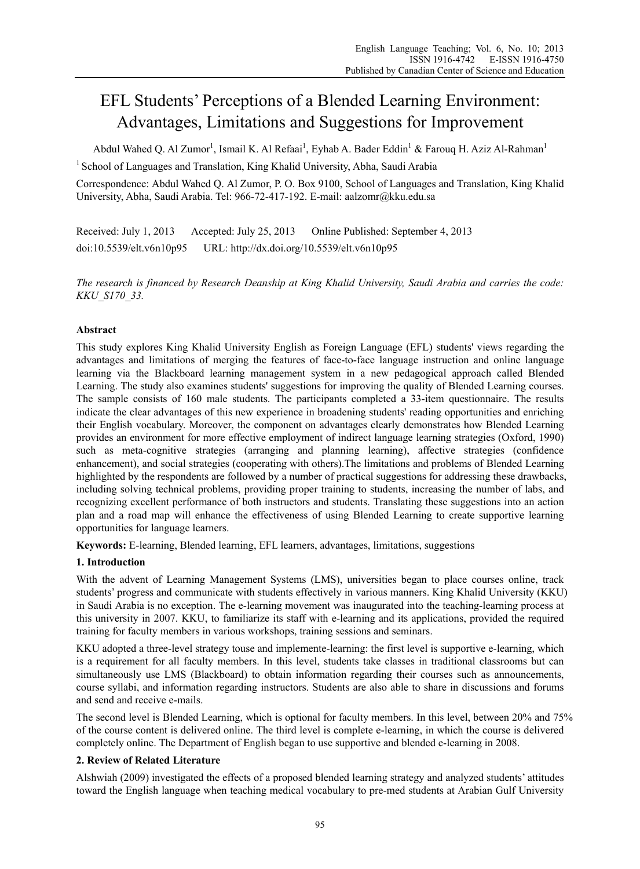# EFL Students' Perceptions of a Blended Learning Environment: Advantages, Limitations and Suggestions for Improvement

Abdul Wahed Q. Al Zumor<sup>1</sup>, Ismail K. Al Refaai<sup>1</sup>, Eyhab A. Bader Eddin<sup>1</sup> & Farouq H. Aziz Al-Rahman<sup>1</sup>

<sup>1</sup> School of Languages and Translation, King Khalid University, Abha, Saudi Arabia

Correspondence: Abdul Wahed Q. Al Zumor, P. O. Box 9100, School of Languages and Translation, King Khalid University, Abha, Saudi Arabia. Tel: 966-72-417-192. E-mail: aalzomr@kku.edu.sa

Received: July 1, 2013 Accepted: July 25, 2013 Online Published: September 4, 2013 doi:10.5539/elt.v6n10p95 URL: http://dx.doi.org/10.5539/elt.v6n10p95

*The research is financed by Research Deanship at King Khalid University, Saudi Arabia and carries the code: KKU\_S170\_33.* 

# **Abstract**

This study explores King Khalid University English as Foreign Language (EFL) students' views regarding the advantages and limitations of merging the features of face-to-face language instruction and online language learning via the Blackboard learning management system in a new pedagogical approach called Blended Learning. The study also examines students' suggestions for improving the quality of Blended Learning courses. The sample consists of 160 male students. The participants completed a 33-item questionnaire. The results indicate the clear advantages of this new experience in broadening students' reading opportunities and enriching their English vocabulary. Moreover, the component on advantages clearly demonstrates how Blended Learning provides an environment for more effective employment of indirect language learning strategies (Oxford, 1990) such as meta-cognitive strategies (arranging and planning learning), affective strategies (confidence enhancement), and social strategies (cooperating with others).The limitations and problems of Blended Learning highlighted by the respondents are followed by a number of practical suggestions for addressing these drawbacks, including solving technical problems, providing proper training to students, increasing the number of labs, and recognizing excellent performance of both instructors and students. Translating these suggestions into an action plan and a road map will enhance the effectiveness of using Blended Learning to create supportive learning opportunities for language learners.

**Keywords:** E-learning, Blended learning, EFL learners, advantages, limitations, suggestions

## **1. Introduction**

With the advent of Learning Management Systems (LMS), universities began to place courses online, track students' progress and communicate with students effectively in various manners. King Khalid University (KKU) in Saudi Arabia is no exception. The e-learning movement was inaugurated into the teaching-learning process at this university in 2007. KKU, to familiarize its staff with e-learning and its applications, provided the required training for faculty members in various workshops, training sessions and seminars.

KKU adopted a three-level strategy touse and implemente-learning: the first level is supportive e-learning, which is a requirement for all faculty members. In this level, students take classes in traditional classrooms but can simultaneously use LMS (Blackboard) to obtain information regarding their courses such as announcements, course syllabi, and information regarding instructors. Students are also able to share in discussions and forums and send and receive e-mails.

The second level is Blended Learning, which is optional for faculty members. In this level, between 20% and 75% of the course content is delivered online. The third level is complete e-learning, in which the course is delivered completely online. The Department of English began to use supportive and blended e-learning in 2008.

# **2. Review of Related Literature**

Alshwiah (2009) investigated the effects of a proposed blended learning strategy and analyzed students' attitudes toward the English language when teaching medical vocabulary to pre-med students at Arabian Gulf University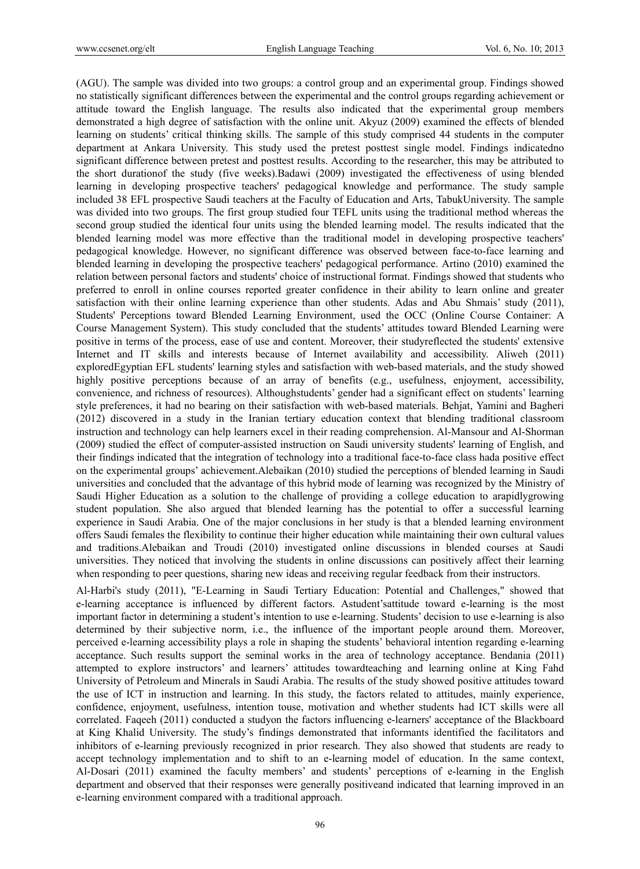(AGU). The sample was divided into two groups: a control group and an experimental group. Findings showed no statistically significant differences between the experimental and the control groups regarding achievement or attitude toward the English language. The results also indicated that the experimental group members demonstrated a high degree of satisfaction with the online unit. Akyuz (2009) examined the effects of blended learning on students' critical thinking skills. The sample of this study comprised 44 students in the computer department at Ankara University. This study used the pretest posttest single model. Findings indicatedno significant difference between pretest and posttest results. According to the researcher, this may be attributed to the short durationof the study (five weeks).Badawi (2009) investigated the effectiveness of using blended learning in developing prospective teachers' pedagogical knowledge and performance. The study sample included 38 EFL prospective Saudi teachers at the Faculty of Education and Arts, TabukUniversity. The sample was divided into two groups. The first group studied four TEFL units using the traditional method whereas the second group studied the identical four units using the blended learning model. The results indicated that the blended learning model was more effective than the traditional model in developing prospective teachers' pedagogical knowledge. However, no significant difference was observed between face-to-face learning and blended learning in developing the prospective teachers' pedagogical performance. Artino (2010) examined the relation between personal factors and students' choice of instructional format. Findings showed that students who preferred to enroll in online courses reported greater confidence in their ability to learn online and greater satisfaction with their online learning experience than other students. Adas and Abu Shmais' study (2011), Students' Perceptions toward Blended Learning Environment, used the OCC (Online Course Container: A Course Management System). This study concluded that the students' attitudes toward Blended Learning were positive in terms of the process, ease of use and content. Moreover, their studyreflected the students' extensive Internet and IT skills and interests because of Internet availability and accessibility. Aliweh (2011) exploredEgyptian EFL students' learning styles and satisfaction with web-based materials, and the study showed highly positive perceptions because of an array of benefits (e.g., usefulness, enjoyment, accessibility, convenience, and richness of resources). Althoughstudents' gender had a significant effect on students' learning style preferences, it had no bearing on their satisfaction with web-based materials. Behjat, Yamini and Bagheri (2012) discovered in a study in the Iranian tertiary education context that blending traditional classroom instruction and technology can help learners excel in their reading comprehension. Al-Mansour and Al-Shorman (2009) studied the effect of computer-assisted instruction on Saudi university students' learning of English, and their findings indicated that the integration of technology into a traditional face-to-face class hada positive effect on the experimental groups' achievement.Alebaikan (2010) studied the perceptions of blended learning in Saudi universities and concluded that the advantage of this hybrid mode of learning was recognized by the Ministry of Saudi Higher Education as a solution to the challenge of providing a college education to arapidlygrowing student population. She also argued that blended learning has the potential to offer a successful learning experience in Saudi Arabia. One of the major conclusions in her study is that a blended learning environment offers Saudi females the flexibility to continue their higher education while maintaining their own cultural values and traditions.Alebaikan and Troudi (2010) investigated online discussions in blended courses at Saudi universities. They noticed that involving the students in online discussions can positively affect their learning when responding to peer questions, sharing new ideas and receiving regular feedback from their instructors.

Al-Harbi's study (2011), "E-Learning in Saudi Tertiary Education: Potential and Challenges," showed that e-learning acceptance is influenced by different factors. Astudent'sattitude toward e-learning is the most important factor in determining a student's intention to use e-learning. Students' decision to use e-learning is also determined by their subjective norm, i.e., the influence of the important people around them. Moreover, perceived e-learning accessibility plays a role in shaping the students' behavioral intention regarding e-learning acceptance. Such results support the seminal works in the area of technology acceptance. Bendania (2011) attempted to explore instructors' and learners' attitudes towardteaching and learning online at King Fahd University of Petroleum and Minerals in Saudi Arabia. The results of the study showed positive attitudes toward the use of ICT in instruction and learning. In this study, the factors related to attitudes, mainly experience, confidence, enjoyment, usefulness, intention touse, motivation and whether students had ICT skills were all correlated. Faqeeh (2011) conducted a studyon the factors influencing e-learners' acceptance of the Blackboard at King Khalid University. The study's findings demonstrated that informants identified the facilitators and inhibitors of e-learning previously recognized in prior research. They also showed that students are ready to accept technology implementation and to shift to an e-learning model of education. In the same context, Al-Dosari (2011) examined the faculty members' and students' perceptions of e-learning in the English department and observed that their responses were generally positiveand indicated that learning improved in an e-learning environment compared with a traditional approach.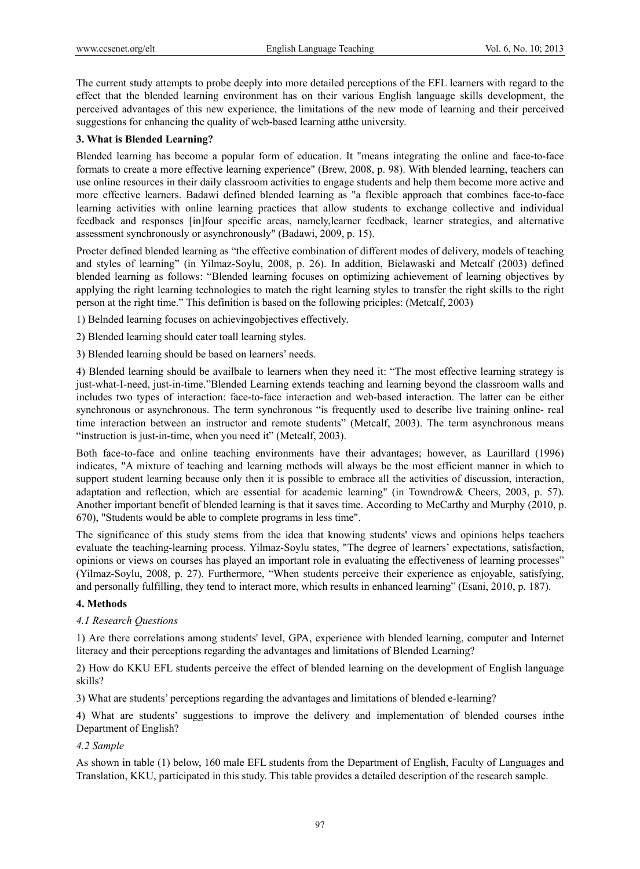The current study attempts to probe deeply into more detailed perceptions of the EFL learners with regard to the effect that the blended learning environment has on their various English language skills development, the perceived advantages of this new experience, the limitations of the new mode of learning and their perceived suggestions for enhancing the quality of web-based learning atthe university.

## **3. What is Blended Learning?**

Blended learning has become a popular form of education. It "means integrating the online and face-to-face formats to create a more effective learning experience" (Brew, 2008, p. 98). With blended learning, teachers can use online resources in their daily classroom activities to engage students and help them become more active and more effective learners. Badawi defined blended learning as "a flexible approach that combines face-to-face learning activities with online learning practices that allow students to exchange collective and individual feedback and responses [in]four specific areas, namely,learner feedback, learner strategies, and alternative assessment synchronously or asynchronously" (Badawi, 2009, p. 15).

Procter defined blended learning as "the effective combination of different modes of delivery, models of teaching and styles of learning" (in Yilmaz-Soylu, 2008, p. 26). In addition, Bielawaski and Metcalf (2003) defined blended learning as follows: "Blended learning focuses on optimizing achievement of learning objectives by applying the right learning technologies to match the right learning styles to transfer the right skills to the right person at the right time." This definition is based on the following priciples: (Metcalf, 2003)

1) Belnded learning focuses on achievingobjectives effectively.

2) Blended learning should cater toall learning styles.

3) Blended learning should be based on learners' needs.

4) Blended learning should be availbale to learners when they need it: "The most effective learning strategy is just-what-I-need, just-in-time."Blended Learning extends teaching and learning beyond the classroom walls and includes two types of interaction: face-to-face interaction and web-based interaction. The latter can be either synchronous or asynchronous. The term synchronous "is frequently used to describe live training online- real time interaction between an instructor and remote students" (Metcalf, 2003). The term asynchronous means "instruction is just-in-time, when you need it" (Metcalf, 2003).

Both face-to-face and online teaching environments have their advantages; however, as Laurillard (1996) indicates, "A mixture of teaching and learning methods will always be the most efficient manner in which to support student learning because only then it is possible to embrace all the activities of discussion, interaction, adaptation and reflection, which are essential for academic learning" (in Towndrow& Cheers, 2003, p. 57). Another important benefit of blended learning is that it saves time. According to McCarthy and Murphy (2010, p. 670), "Students would be able to complete programs in less time".

The significance of this study stems from the idea that knowing students' views and opinions helps teachers evaluate the teaching-learning process. Yilmaz-Soylu states, "The degree of learners' expectations, satisfaction, opinions or views on courses has played an important role in evaluating the effectiveness of learning processes" (Yilmaz-Soylu, 2008, p. 27). Furthermore, "When students perceive their experience as enjoyable, satisfying, and personally fulfilling, they tend to interact more, which results in enhanced learning" (Esani, 2010, p. 187).

## **4. Methods**

#### *4.1 Research Questions*

1) Are there correlations among students' level, GPA, experience with blended learning, computer and Internet literacy and their perceptions regarding the advantages and limitations of Blended Learning?

2) How do KKU EFL students perceive the effect of blended learning on the development of English language skills?

3) What are students' perceptions regarding the advantages and limitations of blended e-learning?

4) What are students' suggestions to improve the delivery and implementation of blended courses inthe Department of English?

## *4.2 Sample*

As shown in table (1) below, 160 male EFL students from the Department of English, Faculty of Languages and Translation, KKU, participated in this study. This table provides a detailed description of the research sample.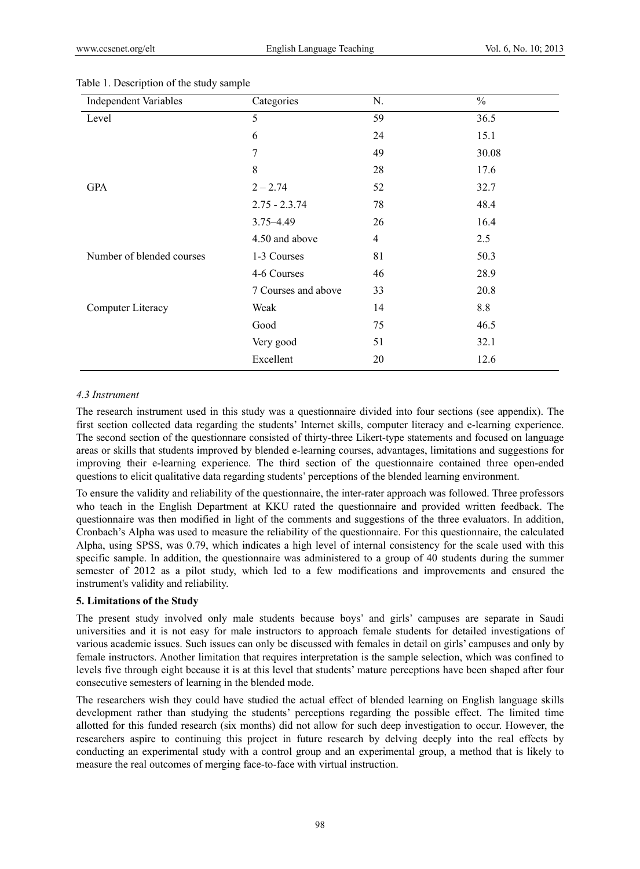| <b>Independent Variables</b> | Categories          | N.             | $\frac{0}{0}$ |
|------------------------------|---------------------|----------------|---------------|
| Level                        | 5                   | 59             | 36.5          |
|                              | 6                   | 24             | 15.1          |
|                              | 7                   | 49             | 30.08         |
|                              | 8                   | 28             | 17.6          |
| <b>GPA</b>                   | $2 - 2.74$          | 52             | 32.7          |
|                              | $2.75 - 2.3.74$     | 78             | 48.4          |
|                              | $3.75 - 4.49$       | 26             | 16.4          |
|                              | 4.50 and above      | $\overline{4}$ | 2.5           |
| Number of blended courses    | 1-3 Courses         | 81             | 50.3          |
|                              | 4-6 Courses         | 46             | 28.9          |
|                              | 7 Courses and above | 33             | 20.8          |
| Computer Literacy            | Weak                | 14             | 8.8           |
|                              | Good                | 75             | 46.5          |
|                              | Very good           | 51             | 32.1          |
|                              | Excellent           | 20             | 12.6          |

#### Table 1. Description of the study sample

### *4.3 Instrument*

The research instrument used in this study was a questionnaire divided into four sections (see appendix). The first section collected data regarding the students' Internet skills, computer literacy and e-learning experience. The second section of the questionnare consisted of thirty-three Likert-type statements and focused on language areas or skills that students improved by blended e-learning courses, advantages, limitations and suggestions for improving their e-learning experience. The third section of the questionnaire contained three open-ended questions to elicit qualitative data regarding students' perceptions of the blended learning environment.

To ensure the validity and reliability of the questionnaire, the inter-rater approach was followed. Three professors who teach in the English Department at KKU rated the questionnaire and provided written feedback. The questionnaire was then modified in light of the comments and suggestions of the three evaluators. In addition, Cronbach's Alpha was used to measure the reliability of the questionnaire. For this questionnaire, the calculated Alpha, using SPSS, was 0.79, which indicates a high level of internal consistency for the scale used with this specific sample. In addition, the questionnaire was administered to a group of 40 students during the summer semester of 2012 as a pilot study, which led to a few modifications and improvements and ensured the instrument's validity and reliability.

#### **5. Limitations of the Study**

The present study involved only male students because boys' and girls' campuses are separate in Saudi universities and it is not easy for male instructors to approach female students for detailed investigations of various academic issues. Such issues can only be discussed with females in detail on girls' campuses and only by female instructors. Another limitation that requires interpretation is the sample selection, which was confined to levels five through eight because it is at this level that students' mature perceptions have been shaped after four consecutive semesters of learning in the blended mode.

The researchers wish they could have studied the actual effect of blended learning on English language skills development rather than studying the students' perceptions regarding the possible effect. The limited time allotted for this funded research (six months) did not allow for such deep investigation to occur. However, the researchers aspire to continuing this project in future research by delving deeply into the real effects by conducting an experimental study with a control group and an experimental group, a method that is likely to measure the real outcomes of merging face-to-face with virtual instruction.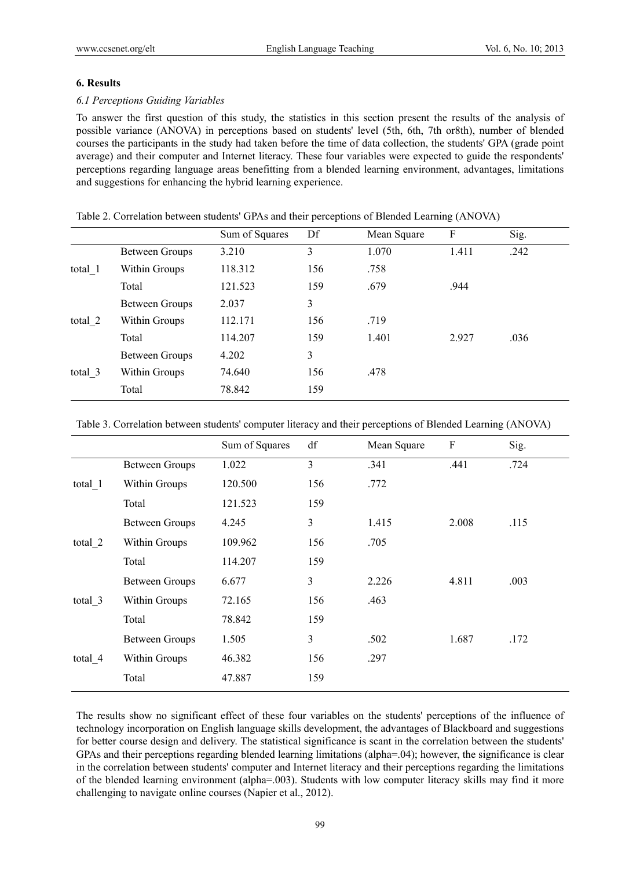### **6. Results**

### *6.1 Perceptions Guiding Variables*

To answer the first question of this study, the statistics in this section present the results of the analysis of possible variance (ANOVA) in perceptions based on students' level (5th, 6th, 7th or8th), number of blended courses the participants in the study had taken before the time of data collection, the students' GPA (grade point average) and their computer and Internet literacy. These four variables were expected to guide the respondents' perceptions regarding language areas benefitting from a blended learning environment, advantages, limitations and suggestions for enhancing the hybrid learning experience.

|         |                | Sum of Squares | Df  | Mean Square | F     | Sig. |
|---------|----------------|----------------|-----|-------------|-------|------|
|         | Between Groups | 3.210          | 3   | 1.070       | 1.411 | .242 |
| total 1 | Within Groups  | 118.312        | 156 | .758        |       |      |
|         | Total          | 121.523        | 159 | .679        | .944  |      |
|         | Between Groups | 2.037          | 3   |             |       |      |
| total 2 | Within Groups  | 112.171        | 156 | .719        |       |      |
|         | Total          | 114.207        | 159 | 1.401       | 2.927 | .036 |
|         | Between Groups | 4.202          | 3   |             |       |      |
| total 3 | Within Groups  | 74.640         | 156 | .478        |       |      |
|         | Total          | 78.842         | 159 |             |       |      |

Table 2. Correlation between students' GPAs and their perceptions of Blended Learning (ANOVA)

Table 3. Correlation between students' computer literacy and their perceptions of Blended Learning (ANOVA)

|         |                       | Sum of Squares | df             | Mean Square | ${\bf F}$ | Sig. |
|---------|-----------------------|----------------|----------------|-------------|-----------|------|
|         | <b>Between Groups</b> | 1.022          | $\overline{3}$ | .341        | .441      | .724 |
| total 1 | Within Groups         | 120.500        | 156            | .772        |           |      |
|         | Total                 | 121.523        | 159            |             |           |      |
| total 2 | Between Groups        | 4.245          | 3              | 1.415       | 2.008     | .115 |
|         | Within Groups         | 109.962        | 156            | .705        |           |      |
|         | Total                 | 114.207        | 159            |             |           |      |
|         | <b>Between Groups</b> | 6.677          | 3              | 2.226       | 4.811     | .003 |
| total 3 | Within Groups         | 72.165         | 156            | .463        |           |      |
|         | Total                 | 78.842         | 159            |             |           |      |
|         | <b>Between Groups</b> | 1.505          | 3              | .502        | 1.687     | .172 |
| total 4 | Within Groups         | 46.382         | 156            | .297        |           |      |
|         | Total                 | 47.887         | 159            |             |           |      |

The results show no significant effect of these four variables on the students' perceptions of the influence of technology incorporation on English language skills development, the advantages of Blackboard and suggestions for better course design and delivery. The statistical significance is scant in the correlation between the students' GPAs and their perceptions regarding blended learning limitations (alpha=.04); however, the significance is clear in the correlation between students' computer and Internet literacy and their perceptions regarding the limitations of the blended learning environment (alpha=.003). Students with low computer literacy skills may find it more challenging to navigate online courses (Napier et al., 2012).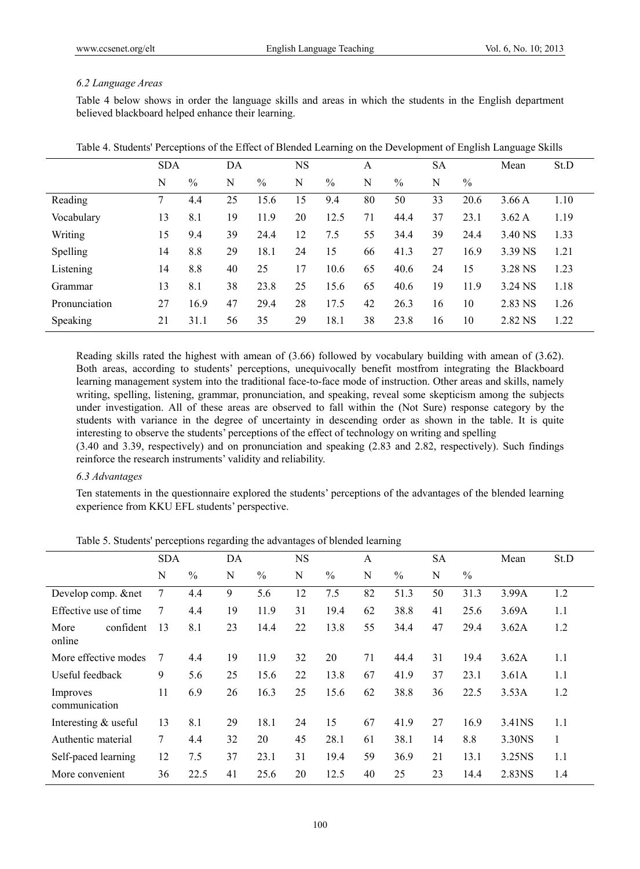## *6.2 Language Areas*

Table 4 below shows in order the language skills and areas in which the students in the English department believed blackboard helped enhance their learning.

|               | <b>SDA</b> |      | DA |               | NS |               | A  |      | <b>SA</b> |      | Mean    | St.D |
|---------------|------------|------|----|---------------|----|---------------|----|------|-----------|------|---------|------|
|               | N          | $\%$ | N  | $\frac{0}{0}$ | N  | $\frac{0}{0}$ | N  | $\%$ | N         | $\%$ |         |      |
| Reading       |            | 4.4  | 25 | 15.6          | 15 | 9.4           | 80 | 50   | 33        | 20.6 | 3.66A   | 1.10 |
| Vocabulary    | 13         | 8.1  | 19 | 11.9          | 20 | 12.5          | 71 | 44.4 | 37        | 23.1 | 3.62A   | 1.19 |
| Writing       | 15         | 9.4  | 39 | 24.4          | 12 | 7.5           | 55 | 34.4 | 39        | 24.4 | 3.40 NS | 1.33 |
| Spelling      | 14         | 8.8  | 29 | 18.1          | 24 | 15            | 66 | 41.3 | 27        | 16.9 | 3.39 NS | 1.21 |
| Listening     | 14         | 8.8  | 40 | 25            | 17 | 10.6          | 65 | 40.6 | 24        | 15   | 3.28 NS | 1.23 |
| Grammar       | 13         | 8.1  | 38 | 23.8          | 25 | 15.6          | 65 | 40.6 | 19        | 11.9 | 3.24 NS | 1.18 |
| Pronunciation | 27         | 16.9 | 47 | 29.4          | 28 | 17.5          | 42 | 26.3 | 16        | 10   | 2.83 NS | 1.26 |
| Speaking      | 21         | 31.1 | 56 | 35            | 29 | 18.1          | 38 | 23.8 | 16        | 10   | 2.82 NS | 1.22 |

|  | Table 4. Students' Perceptions of the Effect of Blended Learning on the Development of English Language Skills |
|--|----------------------------------------------------------------------------------------------------------------|
|  |                                                                                                                |

Reading skills rated the highest with amean of (3.66) followed by vocabulary building with amean of (3.62). Both areas, according to students' perceptions, unequivocally benefit mostfrom integrating the Blackboard learning management system into the traditional face-to-face mode of instruction. Other areas and skills, namely writing, spelling, listening, grammar, pronunciation, and speaking, reveal some skepticism among the subjects under investigation. All of these areas are observed to fall within the (Not Sure) response category by the students with variance in the degree of uncertainty in descending order as shown in the table. It is quite interesting to observe the students' perceptions of the effect of technology on writing and spelling

(3.40 and 3.39, respectively) and on pronunciation and speaking (2.83 and 2.82, respectively). Such findings reinforce the research instruments' validity and reliability.

# *6.3 Advantages*

Ten statements in the questionnaire explored the students' perceptions of the advantages of the blended learning experience from KKU EFL students' perspective.

|                             | <b>SDA</b> |               | DA |               | <b>NS</b> |               | A  |               | <b>SA</b> |               | Mean   | St.D |
|-----------------------------|------------|---------------|----|---------------|-----------|---------------|----|---------------|-----------|---------------|--------|------|
|                             | N          | $\frac{0}{0}$ | N  | $\frac{0}{0}$ | N         | $\frac{0}{0}$ | N  | $\frac{0}{0}$ | N         | $\frac{0}{0}$ |        |      |
| Develop comp. &net          | 7          | 4.4           | 9  | 5.6           | 12        | 7.5           | 82 | 51.3          | 50        | 31.3          | 3.99A  | 1.2  |
| Effective use of time       | 7          | 4.4           | 19 | 11.9          | 31        | 19.4          | 62 | 38.8          | 41        | 25.6          | 3.69A  | 1.1  |
| confident<br>More<br>online | 13         | 8.1           | 23 | 14.4          | 22        | 13.8          | 55 | 34.4          | 47        | 29.4          | 3.62A  | 1.2  |
| More effective modes        | 7          | 4.4           | 19 | 11.9          | 32        | 20            | 71 | 44.4          | 31        | 19.4          | 3.62A  | 1.1  |
| Useful feedback             | 9          | 5.6           | 25 | 15.6          | 22        | 13.8          | 67 | 41.9          | 37        | 23.1          | 3.61A  | 1.1  |
| Improves<br>communication   | 11         | 6.9           | 26 | 16.3          | 25        | 15.6          | 62 | 38.8          | 36        | 22.5          | 3.53A  | 1.2  |
| Interesting & useful        | 13         | 8.1           | 29 | 18.1          | 24        | 15            | 67 | 41.9          | 27        | 16.9          | 3.41NS | 1.1  |
| Authentic material          | 7          | 4.4           | 32 | 20            | 45        | 28.1          | 61 | 38.1          | 14        | 8.8           | 3.30NS |      |
| Self-paced learning         | 12         | 7.5           | 37 | 23.1          | 31        | 19.4          | 59 | 36.9          | 21        | 13.1          | 3.25NS | 1.1  |
| More convenient             | 36         | 22.5          | 41 | 25.6          | 20        | 12.5          | 40 | 25            | 23        | 14.4          | 2.83NS | 1.4  |

Table 5. Students' perceptions regarding the advantages of blended learning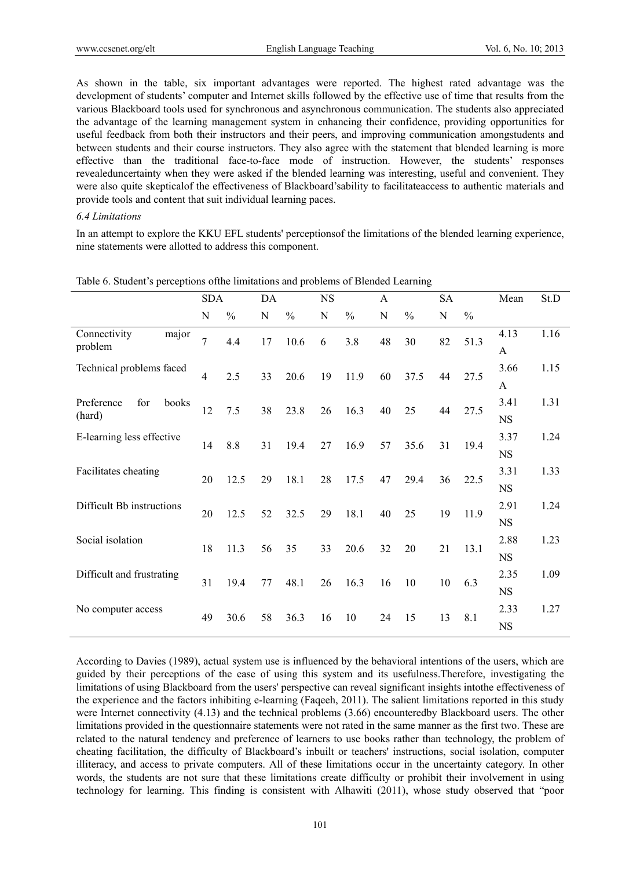As shown in the table, six important advantages were reported. The highest rated advantage was the development of students' computer and Internet skills followed by the effective use of time that results from the various Blackboard tools used for synchronous and asynchronous communication. The students also appreciated the advantage of the learning management system in enhancing their confidence, providing opportunities for useful feedback from both their instructors and their peers, and improving communication amongstudents and between students and their course instructors. They also agree with the statement that blended learning is more effective than the traditional face-to-face mode of instruction. However, the students' responses revealeduncertainty when they were asked if the blended learning was interesting, useful and convenient. They were also quite skepticalof the effectiveness of Blackboard'sability to facilitateaccess to authentic materials and provide tools and content that suit individual learning paces.

#### *6.4 Limitations*

In an attempt to explore the KKU EFL students' perceptionsof the limitations of the blended learning experience, nine statements were allotted to address this component.

|                            | <b>SDA</b>     |               | DA |               | <b>NS</b> |               | A  |               | <b>SA</b> |               | Mean        | St.D |
|----------------------------|----------------|---------------|----|---------------|-----------|---------------|----|---------------|-----------|---------------|-------------|------|
|                            | N              | $\frac{0}{0}$ | N  | $\frac{0}{0}$ | N         | $\frac{0}{0}$ | N  | $\frac{0}{0}$ | N         | $\frac{0}{0}$ |             |      |
| Connectivity<br>major      | 7              | 4.4           | 17 | 10.6          | 6         | 3.8           | 48 | 30            | 82        | 51.3          | 4.13        | 1.16 |
| problem                    |                |               |    |               |           |               |    |               |           |               | A           |      |
| Technical problems faced   | $\overline{4}$ | 2.5           | 33 | 20.6          | 19        | 11.9          | 60 | 37.5          | 44        | 27.5          | 3.66        | 1.15 |
|                            |                |               |    |               |           |               |    |               |           |               | A           |      |
| Preference<br>for<br>books | 12             | 7.5           | 38 | 23.8          | 26        | 16.3          | 40 | 25            | 44        | 27.5          | 3.41        | 1.31 |
| (hard)                     |                |               |    |               |           |               |    |               |           |               | <b>NS</b>   |      |
| E-learning less effective  | 14             | 8.8           | 31 | 19.4          | 27        | 16.9          | 57 | 35.6          | 31        | 19.4          | 3.37        | 1.24 |
|                            |                |               |    |               |           |               |    |               |           |               | $_{\rm NS}$ |      |
| Facilitates cheating       | 20             | 12.5          | 29 | 18.1          | 28        | 17.5          | 47 | 29.4          | 36        | 22.5          | 3.31        | 1.33 |
|                            |                |               |    |               |           |               |    |               |           |               | <b>NS</b>   |      |
| Difficult Bb instructions  | 20             | 12.5          | 52 | 32.5          | 29        | 18.1          | 40 | 25            | 19        | 11.9          | 2.91        | 1.24 |
|                            |                |               |    |               |           |               |    |               |           |               | <b>NS</b>   |      |
| Social isolation           | 18             | 11.3          | 56 | 35            | 33        | 20.6          | 32 | 20            | 21        | 13.1          | 2.88        | 1.23 |
|                            |                |               |    |               |           |               |    |               |           |               | <b>NS</b>   |      |
| Difficult and frustrating  | 31             | 19.4          | 77 | 48.1          | 26        | 16.3          | 16 | 10            | 10        | 6.3           | 2.35        | 1.09 |
|                            |                |               |    |               |           |               |    |               |           |               | <b>NS</b>   |      |
| No computer access         | 49             | 30.6          | 58 | 36.3          | 16        | 10            | 24 | 15            | 13        | 8.1           | 2.33        | 1.27 |
|                            |                |               |    |               |           |               |    |               |           |               | <b>NS</b>   |      |

Table 6. Student's perceptions ofthe limitations and problems of Blended Learning

According to Davies (1989), actual system use is influenced by the behavioral intentions of the users, which are guided by their perceptions of the ease of using this system and its usefulness.Therefore, investigating the limitations of using Blackboard from the users' perspective can reveal significant insights intothe effectiveness of the experience and the factors inhibiting e-learning (Faqeeh, 2011). The salient limitations reported in this study were Internet connectivity (4.13) and the technical problems (3.66) encounteredby Blackboard users. The other limitations provided in the questionnaire statements were not rated in the same manner as the first two. These are related to the natural tendency and preference of learners to use books rather than technology, the problem of cheating facilitation, the difficulty of Blackboard's inbuilt or teachers' instructions, social isolation, computer illiteracy, and access to private computers. All of these limitations occur in the uncertainty category. In other words, the students are not sure that these limitations create difficulty or prohibit their involvement in using technology for learning. This finding is consistent with Alhawiti (2011), whose study observed that "poor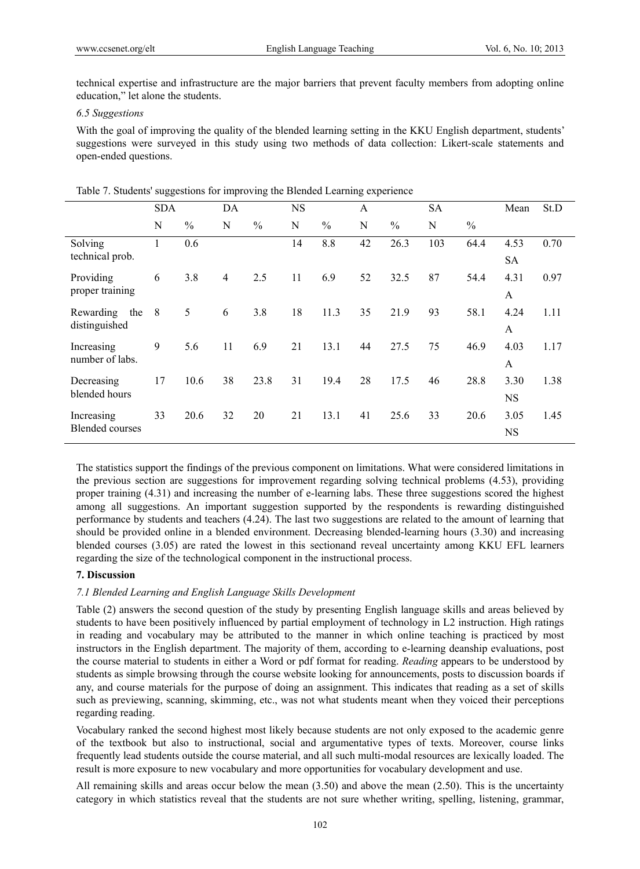technical expertise and infrastructure are the major barriers that prevent faculty members from adopting online education," let alone the students.

### *6.5 Suggestions*

With the goal of improving the quality of the blended learning setting in the KKU English department, students' suggestions were surveyed in this study using two methods of data collection: Likert-scale statements and open-ended questions.

|                                      | <b>SDA</b> |               | DA             |               | <b>NS</b> |               | A  |               | <b>SA</b> |               | Mean              | St.D |
|--------------------------------------|------------|---------------|----------------|---------------|-----------|---------------|----|---------------|-----------|---------------|-------------------|------|
|                                      | N          | $\frac{0}{0}$ | N              | $\frac{0}{0}$ | N         | $\frac{0}{0}$ | N  | $\frac{0}{0}$ | N         | $\frac{0}{0}$ |                   |      |
| Solving<br>technical prob.           | Ι.         | 0.6           |                |               | 14        | 8.8           | 42 | 26.3          | 103       | 64.4          | 4.53<br>SA        | 0.70 |
| Providing<br>proper training         | 6          | 3.8           | $\overline{4}$ | 2.5           | 11        | 6.9           | 52 | 32.5          | 87        | 54.4          | 4.31<br>A         | 0.97 |
| Rewarding<br>the<br>distinguished    | 8          | 5             | 6              | 3.8           | 18        | 11.3          | 35 | 21.9          | 93        | 58.1          | 4.24<br>A         | 1.11 |
| Increasing<br>number of labs.        | 9          | 5.6           | 11             | 6.9           | 21        | 13.1          | 44 | 27.5          | 75        | 46.9          | 4.03<br>A         | 1.17 |
| Decreasing<br>blended hours          | 17         | 10.6          | 38             | 23.8          | 31        | 19.4          | 28 | 17.5          | 46        | 28.8          | 3.30<br>NS        | 1.38 |
| Increasing<br><b>Blended courses</b> | 33         | 20.6          | 32             | 20            | 21        | 13.1          | 41 | 25.6          | 33        | 20.6          | 3.05<br><b>NS</b> | 1.45 |

Table 7. Students' suggestions for improving the Blended Learning experience

The statistics support the findings of the previous component on limitations. What were considered limitations in the previous section are suggestions for improvement regarding solving technical problems (4.53), providing proper training (4.31) and increasing the number of e-learning labs. These three suggestions scored the highest among all suggestions. An important suggestion supported by the respondents is rewarding distinguished performance by students and teachers (4.24). The last two suggestions are related to the amount of learning that should be provided online in a blended environment. Decreasing blended-learning hours (3.30) and increasing blended courses (3.05) are rated the lowest in this sectionand reveal uncertainty among KKU EFL learners regarding the size of the technological component in the instructional process.

# **7. Discussion**

## *7.1 Blended Learning and English Language Skills Development*

Table (2) answers the second question of the study by presenting English language skills and areas believed by students to have been positively influenced by partial employment of technology in L2 instruction. High ratings in reading and vocabulary may be attributed to the manner in which online teaching is practiced by most instructors in the English department. The majority of them, according to e-learning deanship evaluations, post the course material to students in either a Word or pdf format for reading. *Reading* appears to be understood by students as simple browsing through the course website looking for announcements, posts to discussion boards if any, and course materials for the purpose of doing an assignment. This indicates that reading as a set of skills such as previewing, scanning, skimming, etc., was not what students meant when they voiced their perceptions regarding reading.

Vocabulary ranked the second highest most likely because students are not only exposed to the academic genre of the textbook but also to instructional, social and argumentative types of texts. Moreover, course links frequently lead students outside the course material, and all such multi-modal resources are lexically loaded. The result is more exposure to new vocabulary and more opportunities for vocabulary development and use.

All remaining skills and areas occur below the mean (3.50) and above the mean (2.50). This is the uncertainty category in which statistics reveal that the students are not sure whether writing, spelling, listening, grammar,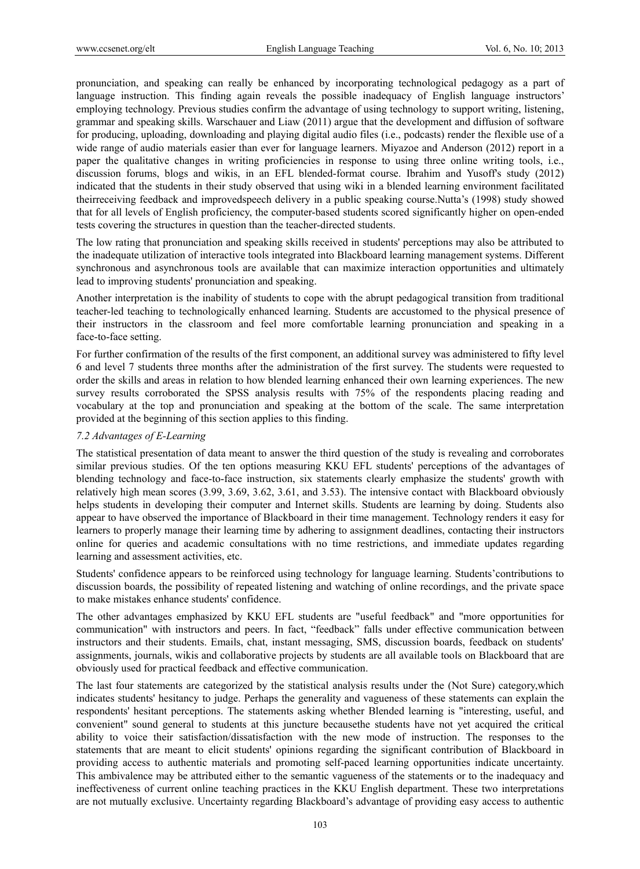pronunciation, and speaking can really be enhanced by incorporating technological pedagogy as a part of language instruction. This finding again reveals the possible inadequacy of English language instructors' employing technology. Previous studies confirm the advantage of using technology to support writing, listening, grammar and speaking skills. Warschauer and Liaw (2011) argue that the development and diffusion of software for producing, uploading, downloading and playing digital audio files (i.e., podcasts) render the flexible use of a wide range of audio materials easier than ever for language learners. Miyazoe and Anderson (2012) report in a paper the qualitative changes in writing proficiencies in response to using three online writing tools, i.e., discussion forums, blogs and wikis, in an EFL blended-format course. Ibrahim and Yusoff's study (2012) indicated that the students in their study observed that using wiki in a blended learning environment facilitated theirreceiving feedback and improvedspeech delivery in a public speaking course.Nutta's (1998) study showed that for all levels of English proficiency, the computer-based students scored significantly higher on open-ended tests covering the structures in question than the teacher-directed students.

The low rating that pronunciation and speaking skills received in students' perceptions may also be attributed to the inadequate utilization of interactive tools integrated into Blackboard learning management systems. Different synchronous and asynchronous tools are available that can maximize interaction opportunities and ultimately lead to improving students' pronunciation and speaking.

Another interpretation is the inability of students to cope with the abrupt pedagogical transition from traditional teacher-led teaching to technologically enhanced learning. Students are accustomed to the physical presence of their instructors in the classroom and feel more comfortable learning pronunciation and speaking in a face-to-face setting.

For further confirmation of the results of the first component, an additional survey was administered to fifty level 6 and level 7 students three months after the administration of the first survey. The students were requested to order the skills and areas in relation to how blended learning enhanced their own learning experiences. The new survey results corroborated the SPSS analysis results with 75% of the respondents placing reading and vocabulary at the top and pronunciation and speaking at the bottom of the scale. The same interpretation provided at the beginning of this section applies to this finding.

## *7.2 Advantages of E-Learning*

The statistical presentation of data meant to answer the third question of the study is revealing and corroborates similar previous studies. Of the ten options measuring KKU EFL students' perceptions of the advantages of blending technology and face-to-face instruction, six statements clearly emphasize the students' growth with relatively high mean scores (3.99, 3.69, 3.62, 3.61, and 3.53). The intensive contact with Blackboard obviously helps students in developing their computer and Internet skills. Students are learning by doing. Students also appear to have observed the importance of Blackboard in their time management. Technology renders it easy for learners to properly manage their learning time by adhering to assignment deadlines, contacting their instructors online for queries and academic consultations with no time restrictions, and immediate updates regarding learning and assessment activities, etc.

Students' confidence appears to be reinforced using technology for language learning. Students'contributions to discussion boards, the possibility of repeated listening and watching of online recordings, and the private space to make mistakes enhance students' confidence.

The other advantages emphasized by KKU EFL students are "useful feedback" and "more opportunities for communication" with instructors and peers. In fact, "feedback" falls under effective communication between instructors and their students. Emails, chat, instant messaging, SMS, discussion boards, feedback on students' assignments, journals, wikis and collaborative projects by students are all available tools on Blackboard that are obviously used for practical feedback and effective communication.

The last four statements are categorized by the statistical analysis results under the (Not Sure) category,which indicates students' hesitancy to judge. Perhaps the generality and vagueness of these statements can explain the respondents' hesitant perceptions. The statements asking whether Blended learning is "interesting, useful, and convenient" sound general to students at this juncture becausethe students have not yet acquired the critical ability to voice their satisfaction/dissatisfaction with the new mode of instruction. The responses to the statements that are meant to elicit students' opinions regarding the significant contribution of Blackboard in providing access to authentic materials and promoting self-paced learning opportunities indicate uncertainty. This ambivalence may be attributed either to the semantic vagueness of the statements or to the inadequacy and ineffectiveness of current online teaching practices in the KKU English department. These two interpretations are not mutually exclusive. Uncertainty regarding Blackboard's advantage of providing easy access to authentic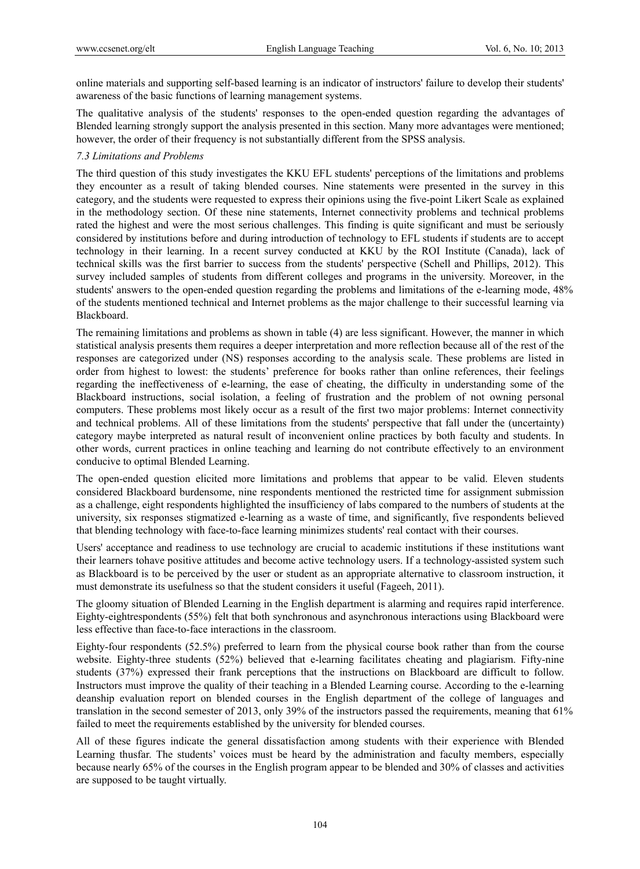online materials and supporting self-based learning is an indicator of instructors' failure to develop their students' awareness of the basic functions of learning management systems.

The qualitative analysis of the students' responses to the open-ended question regarding the advantages of Blended learning strongly support the analysis presented in this section. Many more advantages were mentioned; however, the order of their frequency is not substantially different from the SPSS analysis.

## *7.3 Limitations and Problems*

The third question of this study investigates the KKU EFL students' perceptions of the limitations and problems they encounter as a result of taking blended courses. Nine statements were presented in the survey in this category, and the students were requested to express their opinions using the five-point Likert Scale as explained in the methodology section. Of these nine statements, Internet connectivity problems and technical problems rated the highest and were the most serious challenges. This finding is quite significant and must be seriously considered by institutions before and during introduction of technology to EFL students if students are to accept technology in their learning. In a recent survey conducted at KKU by the ROI Institute (Canada), lack of technical skills was the first barrier to success from the students' perspective (Schell and Phillips, 2012). This survey included samples of students from different colleges and programs in the university. Moreover, in the students' answers to the open-ended question regarding the problems and limitations of the e-learning mode, 48% of the students mentioned technical and Internet problems as the major challenge to their successful learning via Blackboard.

The remaining limitations and problems as shown in table (4) are less significant. However, the manner in which statistical analysis presents them requires a deeper interpretation and more reflection because all of the rest of the responses are categorized under (NS) responses according to the analysis scale. These problems are listed in order from highest to lowest: the students' preference for books rather than online references, their feelings regarding the ineffectiveness of e-learning, the ease of cheating, the difficulty in understanding some of the Blackboard instructions, social isolation, a feeling of frustration and the problem of not owning personal computers. These problems most likely occur as a result of the first two major problems: Internet connectivity and technical problems. All of these limitations from the students' perspective that fall under the (uncertainty) category maybe interpreted as natural result of inconvenient online practices by both faculty and students. In other words, current practices in online teaching and learning do not contribute effectively to an environment conducive to optimal Blended Learning.

The open-ended question elicited more limitations and problems that appear to be valid. Eleven students considered Blackboard burdensome, nine respondents mentioned the restricted time for assignment submission as a challenge, eight respondents highlighted the insufficiency of labs compared to the numbers of students at the university, six responses stigmatized e-learning as a waste of time, and significantly, five respondents believed that blending technology with face-to-face learning minimizes students' real contact with their courses.

Users' acceptance and readiness to use technology are crucial to academic institutions if these institutions want their learners tohave positive attitudes and become active technology users. If a technology-assisted system such as Blackboard is to be perceived by the user or student as an appropriate alternative to classroom instruction, it must demonstrate its usefulness so that the student considers it useful (Fageeh, 2011).

The gloomy situation of Blended Learning in the English department is alarming and requires rapid interference. Eighty-eightrespondents (55%) felt that both synchronous and asynchronous interactions using Blackboard were less effective than face-to-face interactions in the classroom.

Eighty-four respondents (52.5%) preferred to learn from the physical course book rather than from the course website. Eighty-three students (52%) believed that e-learning facilitates cheating and plagiarism. Fifty-nine students (37%) expressed their frank perceptions that the instructions on Blackboard are difficult to follow. Instructors must improve the quality of their teaching in a Blended Learning course. According to the e-learning deanship evaluation report on blended courses in the English department of the college of languages and translation in the second semester of 2013, only 39% of the instructors passed the requirements, meaning that 61% failed to meet the requirements established by the university for blended courses.

All of these figures indicate the general dissatisfaction among students with their experience with Blended Learning thusfar. The students' voices must be heard by the administration and faculty members, especially because nearly 65% of the courses in the English program appear to be blended and 30% of classes and activities are supposed to be taught virtually.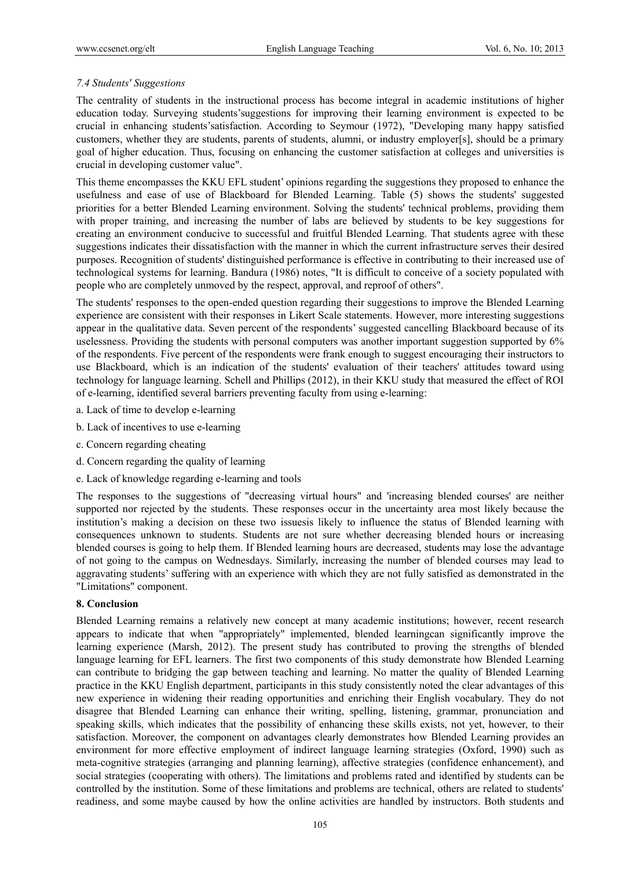## *7.4 Students' Suggestions*

The centrality of students in the instructional process has become integral in academic institutions of higher education today. Surveying students'suggestions for improving their learning environment is expected to be crucial in enhancing students'satisfaction. According to Seymour (1972), "Developing many happy satisfied customers, whether they are students, parents of students, alumni, or industry employer[s], should be a primary goal of higher education. Thus, focusing on enhancing the customer satisfaction at colleges and universities is crucial in developing customer value".

This theme encompasses the KKU EFL student' opinions regarding the suggestions they proposed to enhance the usefulness and ease of use of Blackboard for Blended Learning. Table (5) shows the students' suggested priorities for a better Blended Learning environment. Solving the students' technical problems, providing them with proper training, and increasing the number of labs are believed by students to be key suggestions for creating an environment conducive to successful and fruitful Blended Learning. That students agree with these suggestions indicates their dissatisfaction with the manner in which the current infrastructure serves their desired purposes. Recognition of students' distinguished performance is effective in contributing to their increased use of technological systems for learning. Bandura (1986) notes, "It is difficult to conceive of a society populated with people who are completely unmoved by the respect, approval, and reproof of others".

The students' responses to the open-ended question regarding their suggestions to improve the Blended Learning experience are consistent with their responses in Likert Scale statements. However, more interesting suggestions appear in the qualitative data. Seven percent of the respondents' suggested cancelling Blackboard because of its uselessness. Providing the students with personal computers was another important suggestion supported by 6% of the respondents. Five percent of the respondents were frank enough to suggest encouraging their instructors to use Blackboard, which is an indication of the students' evaluation of their teachers' attitudes toward using technology for language learning. Schell and Phillips (2012), in their KKU study that measured the effect of ROI of e-learning, identified several barriers preventing faculty from using e-learning:

- a. Lack of time to develop e-learning
- b. Lack of incentives to use e-learning
- c. Concern regarding cheating
- d. Concern regarding the quality of learning
- e. Lack of knowledge regarding e-learning and tools

The responses to the suggestions of "decreasing virtual hours" and 'increasing blended courses' are neither supported nor rejected by the students. These responses occur in the uncertainty area most likely because the institution's making a decision on these two issuesis likely to influence the status of Blended learning with consequences unknown to students. Students are not sure whether decreasing blended hours or increasing blended courses is going to help them. If Blended learning hours are decreased, students may lose the advantage of not going to the campus on Wednesdays. Similarly, increasing the number of blended courses may lead to aggravating students' suffering with an experience with which they are not fully satisfied as demonstrated in the "Limitations" component.

## **8. Conclusion**

Blended Learning remains a relatively new concept at many academic institutions; however, recent research appears to indicate that when "appropriately" implemented, blended learningcan significantly improve the learning experience (Marsh, 2012). The present study has contributed to proving the strengths of blended language learning for EFL learners. The first two components of this study demonstrate how Blended Learning can contribute to bridging the gap between teaching and learning. No matter the quality of Blended Learning practice in the KKU English department, participants in this study consistently noted the clear advantages of this new experience in widening their reading opportunities and enriching their English vocabulary. They do not disagree that Blended Learning can enhance their writing, spelling, listening, grammar, pronunciation and speaking skills, which indicates that the possibility of enhancing these skills exists, not yet, however, to their satisfaction. Moreover, the component on advantages clearly demonstrates how Blended Learning provides an environment for more effective employment of indirect language learning strategies (Oxford, 1990) such as meta-cognitive strategies (arranging and planning learning), affective strategies (confidence enhancement), and social strategies (cooperating with others). The limitations and problems rated and identified by students can be controlled by the institution. Some of these limitations and problems are technical, others are related to students' readiness, and some maybe caused by how the online activities are handled by instructors. Both students and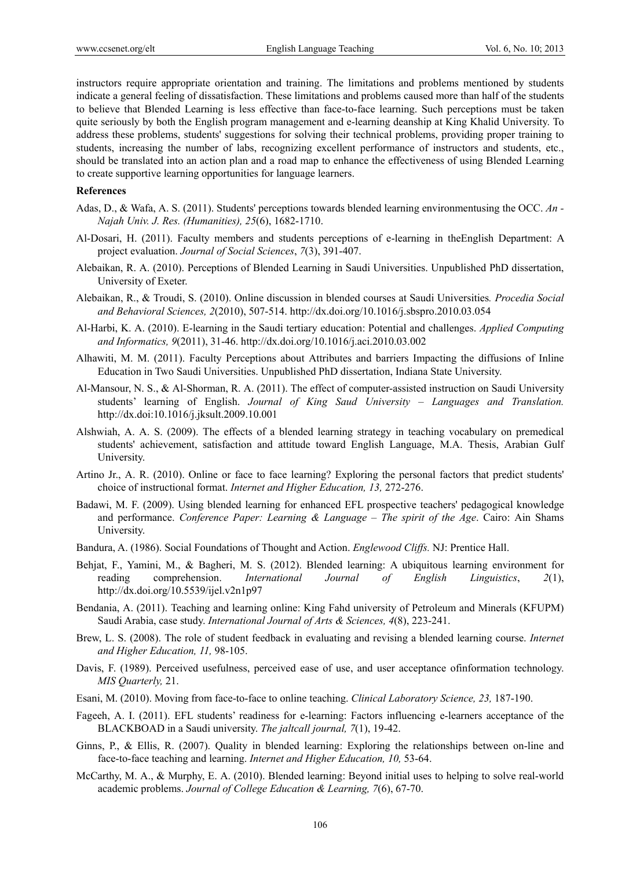instructors require appropriate orientation and training. The limitations and problems mentioned by students indicate a general feeling of dissatisfaction. These limitations and problems caused more than half of the students to believe that Blended Learning is less effective than face-to-face learning. Such perceptions must be taken quite seriously by both the English program management and e-learning deanship at King Khalid University. To address these problems, students' suggestions for solving their technical problems, providing proper training to students, increasing the number of labs, recognizing excellent performance of instructors and students, etc., should be translated into an action plan and a road map to enhance the effectiveness of using Blended Learning to create supportive learning opportunities for language learners.

#### **References**

- Adas, D., & Wafa, A. S. (2011). Students' perceptions towards blended learning environmentusing the OCC. *An Najah Univ. J. Res. (Humanities), 25*(6), 1682-1710.
- Al-Dosari, H. (2011). Faculty members and students perceptions of e-learning in theEnglish Department: A project evaluation. *Journal of Social Sciences*, *7*(3), 391-407.
- Alebaikan, R. A. (2010). Perceptions of Blended Learning in Saudi Universities. Unpublished PhD dissertation, University of Exeter.
- Alebaikan, R., & Troudi, S. (2010). Online discussion in blended courses at Saudi Universities*. Procedia Social and Behavioral Sciences, 2*(2010), 507-514. http://dx.doi.org/10.1016/j.sbspro.2010.03.054
- Al-Harbi, K. A. (2010). E-learning in the Saudi tertiary education: Potential and challenges. *Applied Computing and Informatics, 9*(2011), 31-46. http://dx.doi.org/10.1016/j.aci.2010.03.002
- Alhawiti, M. M. (2011). Faculty Perceptions about Attributes and barriers Impacting the diffusions of Inline Education in Two Saudi Universities. Unpublished PhD dissertation, Indiana State University.
- Al-Mansour, N. S., & Al-Shorman, R. A. (2011). The effect of computer-assisted instruction on Saudi University students' learning of English. *Journal of King Saud University – Languages and Translation.* http://dx.doi:10.1016/j.jksult.2009.10.001
- Alshwiah, A. A. S. (2009). The effects of a blended learning strategy in teaching vocabulary on premedical students' achievement, satisfaction and attitude toward English Language, M.A. Thesis, Arabian Gulf University.
- Artino Jr., A. R. (2010). Online or face to face learning? Exploring the personal factors that predict students' choice of instructional format. *Internet and Higher Education, 13,* 272-276.
- Badawi, M. F. (2009). Using blended learning for enhanced EFL prospective teachers' pedagogical knowledge and performance. *Conference Paper: Learning & Language – The spirit of the Age*. Cairo: Ain Shams University.
- Bandura, A. (1986). Social Foundations of Thought and Action. *Englewood Cliffs.* NJ: Prentice Hall.
- Behjat, F., Yamini, M., & Bagheri, M. S. (2012). Blended learning: A ubiquitous learning environment for reading comprehension. *International Journal of English Linguistics*, *2*(1), http://dx.doi.org/10.5539/ijel.v2n1p97
- Bendania, A. (2011). Teaching and learning online: King Fahd university of Petroleum and Minerals (KFUPM) Saudi Arabia, case study. *International Journal of Arts & Sciences, 4*(8), 223-241.
- Brew, L. S. (2008). The role of student feedback in evaluating and revising a blended learning course. *Internet and Higher Education, 11,* 98-105.
- Davis, F. (1989). Perceived usefulness, perceived ease of use, and user acceptance ofinformation technology. *MIS Quarterly,* 21.
- Esani, M. (2010). Moving from face-to-face to online teaching. *Clinical Laboratory Science, 23,* 187-190.
- Fageeh, A. I. (2011). EFL students' readiness for e-learning: Factors influencing e-learners acceptance of the BLACKBOAD in a Saudi university. *The jaltcall journal, 7*(1), 19-42.
- Ginns, P., & Ellis, R. (2007). Quality in blended learning: Exploring the relationships between on-line and face-to-face teaching and learning. *Internet and Higher Education, 10,* 53-64.
- McCarthy, M. A., & Murphy, E. A. (2010). Blended learning: Beyond initial uses to helping to solve real-world academic problems. *Journal of College Education & Learning, 7*(6), 67-70.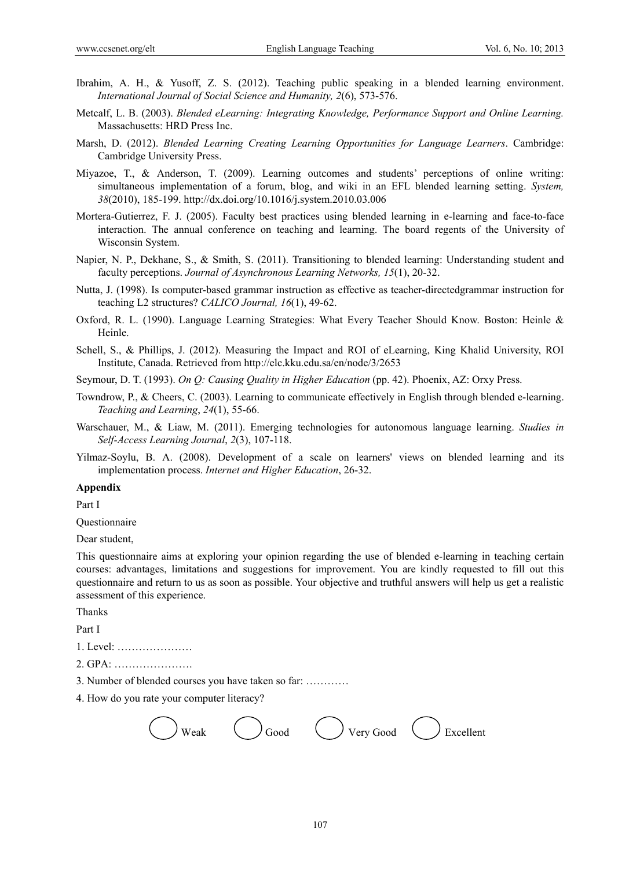- Ibrahim, A. H., & Yusoff, Z. S. (2012). Teaching public speaking in a blended learning environment. *International Journal of Social Science and Humanity, 2*(6), 573-576.
- Metcalf, L. B. (2003). *Blended eLearning: Integrating Knowledge, Performance Support and Online Learning.* Massachusetts: HRD Press Inc.
- Marsh, D. (2012). *Blended Learning Creating Learning Opportunities for Language Learners*. Cambridge: Cambridge University Press.
- Miyazoe, T., & Anderson, T. (2009). Learning outcomes and students' perceptions of online writing: simultaneous implementation of a forum, blog, and wiki in an EFL blended learning setting. *System, 38*(2010), 185-199. http://dx.doi.org/10.1016/j.system.2010.03.006
- Mortera-Gutierrez, F. J. (2005). Faculty best practices using blended learning in e-learning and face-to-face interaction. The annual conference on teaching and learning. The board regents of the University of Wisconsin System.
- Napier, N. P., Dekhane, S., & Smith, S. (2011). Transitioning to blended learning: Understanding student and faculty perceptions. *Journal of Asynchronous Learning Networks, 15*(1), 20-32.
- Nutta, J. (1998). Is computer-based grammar instruction as effective as teacher-directedgrammar instruction for teaching L2 structures? *CALICO Journal, 16*(1), 49-62.
- Oxford, R. L. (1990). Language Learning Strategies: What Every Teacher Should Know. Boston: Heinle & Heinle.
- Schell, S., & Phillips, J. (2012). Measuring the Impact and ROI of eLearning, King Khalid University, ROI Institute, Canada. Retrieved from http://elc.kku.edu.sa/en/node/3/2653
- Seymour, D. T. (1993). *On Q: Causing Quality in Higher Education* (pp. 42). Phoenix, AZ: Orxy Press.
- Towndrow, P., & Cheers, C. (2003). Learning to communicate effectively in English through blended e-learning. *Teaching and Learning*, *24*(1), 55-66.
- Warschauer, M., & Liaw, M. (2011). Emerging technologies for autonomous language learning. *Studies in Self-Access Learning Journal*, *2*(3), 107-118.
- Yilmaz-Soylu, B. A. (2008). Development of a scale on learners' views on blended learning and its implementation process. *Internet and Higher Education*, 26-32.

### **Appendix**

Part I

Questionnaire

Dear student,

This questionnaire aims at exploring your opinion regarding the use of blended e-learning in teaching certain courses: advantages, limitations and suggestions for improvement. You are kindly requested to fill out this questionnaire and return to us as soon as possible. Your objective and truthful answers will help us get a realistic assessment of this experience.

Thanks

Part I

- 1. Level: …………………
- 2. GPA: ………………….
- 3. Number of blended courses you have taken so far: …………

4. How do you rate your computer literacy?

| Weak | Good | Very Good | $\angle$ Excellent |
|------|------|-----------|--------------------|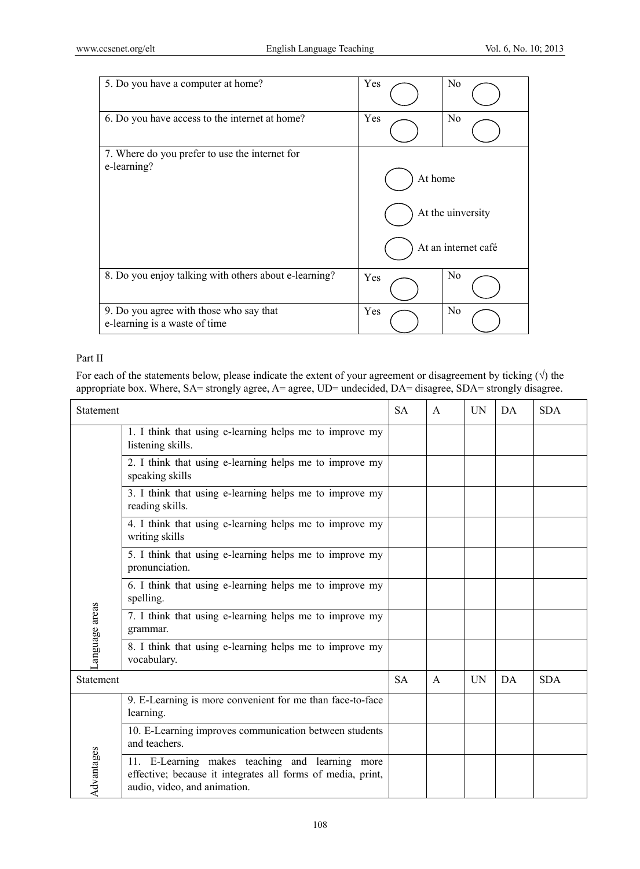| 5. Do you have a computer at home?                                       | Yes     | No                  |
|--------------------------------------------------------------------------|---------|---------------------|
| 6. Do you have access to the internet at home?                           | Yes     | N <sub>0</sub>      |
| 7. Where do you prefer to use the internet for                           |         |                     |
| e-learning?                                                              | At home |                     |
|                                                                          |         | At the university   |
|                                                                          |         | At an internet café |
| 8. Do you enjoy talking with others about e-learning?                    | Yes     | N <sub>0</sub>      |
| 9. Do you agree with those who say that<br>e-learning is a waste of time | Yes     | N <sub>0</sub>      |

## Part II

For each of the statements below, please indicate the extent of your agreement or disagreement by ticking  $(\sqrt{})$  the appropriate box. Where, SA= strongly agree, A= agree, UD= undecided, DA= disagree, SDA= strongly disagree.

| Statement     |                                                                                                                                                | <b>SA</b> | $\mathsf{A}$ | <b>UN</b> | DA  | <b>SDA</b> |
|---------------|------------------------------------------------------------------------------------------------------------------------------------------------|-----------|--------------|-----------|-----|------------|
|               | 1. I think that using e-learning helps me to improve my<br>listening skills.                                                                   |           |              |           |     |            |
|               | 2. I think that using e-learning helps me to improve my<br>speaking skills                                                                     |           |              |           |     |            |
|               | 3. I think that using e-learning helps me to improve my<br>reading skills.                                                                     |           |              |           |     |            |
|               | 4. I think that using e-learning helps me to improve my<br>writing skills                                                                      |           |              |           |     |            |
|               | 5. I think that using e-learning helps me to improve my<br>pronunciation.                                                                      |           |              |           |     |            |
|               | 6. I think that using e-learning helps me to improve my<br>spelling.                                                                           |           |              |           |     |            |
| anguage areas | 7. I think that using e-learning helps me to improve my<br>grammar.                                                                            |           |              |           |     |            |
|               | 8. I think that using e-learning helps me to improve my<br>vocabulary.                                                                         |           |              |           |     |            |
| Statement     |                                                                                                                                                | <b>SA</b> | $\mathsf{A}$ | UN        | DA. | <b>SDA</b> |
|               | 9. E-Learning is more convenient for me than face-to-face<br>learning.                                                                         |           |              |           |     |            |
|               | 10. E-Learning improves communication between students<br>and teachers.                                                                        |           |              |           |     |            |
| Advantages    | 11. E-Learning makes teaching and learning more<br>effective; because it integrates all forms of media, print,<br>audio, video, and animation. |           |              |           |     |            |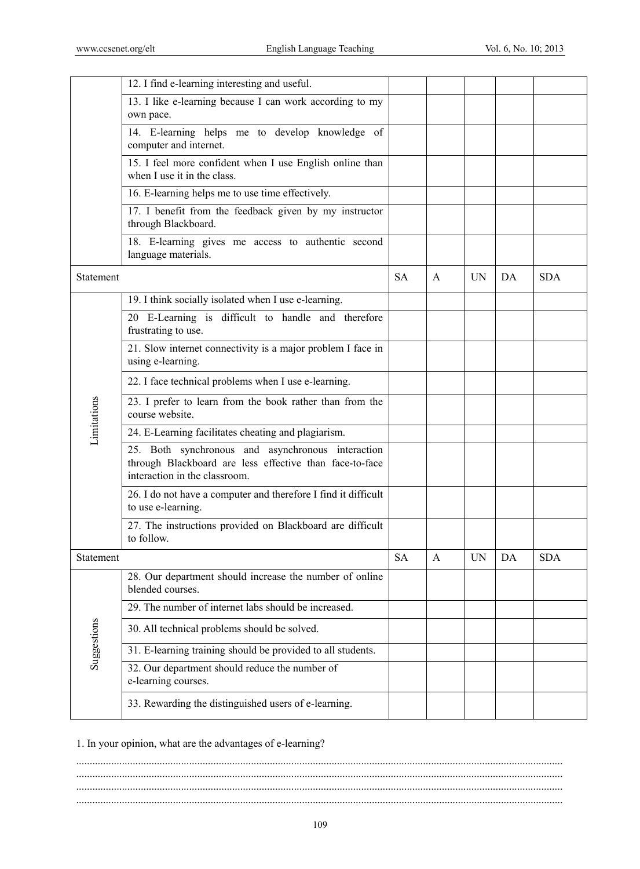|             | 12. I find e-learning interesting and useful.                                                                                                 |           |   |           |    |            |
|-------------|-----------------------------------------------------------------------------------------------------------------------------------------------|-----------|---|-----------|----|------------|
|             | 13. I like e-learning because I can work according to my<br>own pace.                                                                         |           |   |           |    |            |
|             | 14. E-learning helps me to develop knowledge of<br>computer and internet.                                                                     |           |   |           |    |            |
|             | 15. I feel more confident when I use English online than<br>when I use it in the class.                                                       |           |   |           |    |            |
|             | 16. E-learning helps me to use time effectively.                                                                                              |           |   |           |    |            |
|             | 17. I benefit from the feedback given by my instructor<br>through Blackboard.                                                                 |           |   |           |    |            |
|             | 18. E-learning gives me access to authentic second<br>language materials.                                                                     |           |   |           |    |            |
| Statement   |                                                                                                                                               | <b>SA</b> | A | UN.       | DA | <b>SDA</b> |
|             | 19. I think socially isolated when I use e-learning.                                                                                          |           |   |           |    |            |
|             | 20 E-Learning is difficult to handle and therefore<br>frustrating to use.                                                                     |           |   |           |    |            |
|             | 21. Slow internet connectivity is a major problem I face in<br>using e-learning.                                                              |           |   |           |    |            |
|             | 22. I face technical problems when I use e-learning.                                                                                          |           |   |           |    |            |
| Limitations | 23. I prefer to learn from the book rather than from the<br>course website.                                                                   |           |   |           |    |            |
|             | 24. E-Learning facilitates cheating and plagiarism.                                                                                           |           |   |           |    |            |
|             | 25. Both synchronous and asynchronous interaction<br>through Blackboard are less effective than face-to-face<br>interaction in the classroom. |           |   |           |    |            |
|             | 26. I do not have a computer and therefore I find it difficult<br>to use e-learning.                                                          |           |   |           |    |            |
|             | 27. The instructions provided on Blackboard are difficult<br>to follow.                                                                       |           |   |           |    |            |
| Statement   |                                                                                                                                               | SA        | A | <b>UN</b> | DA | SDA        |
|             | 28. Our department should increase the number of online<br>blended courses.                                                                   |           |   |           |    |            |
|             | 29. The number of internet labs should be increased.                                                                                          |           |   |           |    |            |
| Suggestions | 30. All technical problems should be solved.                                                                                                  |           |   |           |    |            |
|             | 31. E-learning training should be provided to all students.                                                                                   |           |   |           |    |            |
|             | 32. Our department should reduce the number of<br>e-learning courses.                                                                         |           |   |           |    |            |
|             | 33. Rewarding the distinguished users of e-learning.                                                                                          |           |   |           |    |            |

1. In your opinion, what are the advantages of e-learning?

..................................................................................................................................................................................... ..................................................................................................................................................................................... ..................................................................................................................................................................................... .....................................................................................................................................................................................